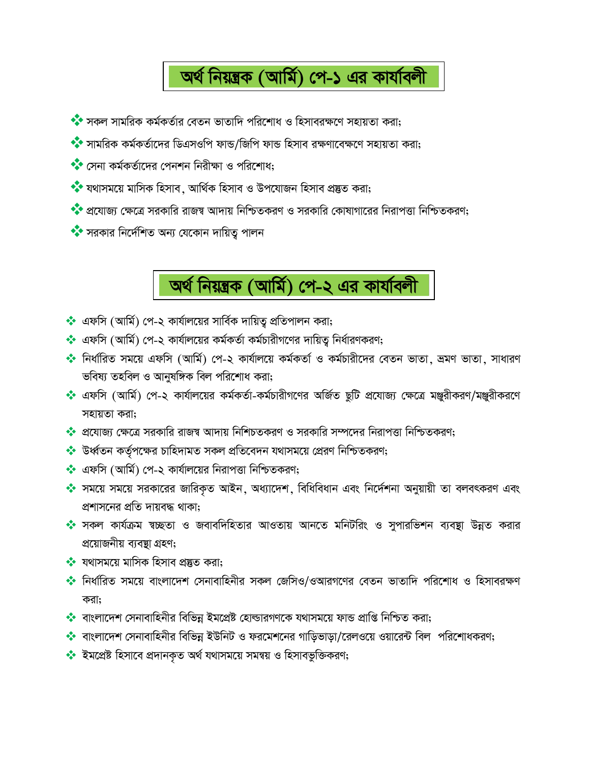## অৰ্থ নিয়ন্ত্ৰক (আৰ্মি) পে-১ এর কাৰ্যাবলী

- ◆ সকল সামরিক কর্মকর্তার বেতন ভাতাদি পরিশোধ ও হিসাবরক্ষণে সহায়তা করা;
- ◆ সামরিক কর্মকর্তাদের ডিএসওপি ফান্ড/জিপি ফান্ড হিসাব রক্ষণাবেক্ষণে সহায়তা করা;
- ◆ সেনা কর্মকর্তাদের পেনশন নিরীক্ষা ও পরিশোধ;
- ◆ যথাসময়ে মাসিক হিসাব , আৰ্থিক হিসাব ও উপযোজন হিসাব প্ৰষ্তুত করা;
- ◆◆ প্রযোজ্য ক্ষেত্রে সরকারি রাজস্ব আদায় নিশ্চিতকরণ ও সরকারি কোষাগারের নিরাপত্তা নিশ্চিতকরণ;
- ◆ সরকার নির্দেশিত অন্য যেকোন দায়িতু পালন



- ❖ এফসি (আর্মি) পে-২ কার্যালয়ের সার্বিক দায়িতু প্রতিপালন করা;
- ❖ এফসি (আর্মি) পে-২ কার্যালয়ের কর্মকর্তা কর্মচারীগণের দায়িতু নির্ধারণকরণ;
- ❖ নির্ধারিত সময়ে এফসি (আর্মি) পে-২ কার্যালয়ে কর্মকর্তা ও কর্মচারীদের বেতন ভাতা, ভ্রমণ ভাতা, সাধারণ ভবিষ্য তহবিল ও আনুষঙ্গিক বিল পরিশোধ করা;
- \* এফসি (আর্মি) পে-২ কার্যালয়ের কর্মকর্তা-কর্মচারীগণের অর্জিত ছুটি প্রযোজ্য ক্ষেত্রে মঞ্জুরীকরণ/মঞ্জুরীকরণে সহায়তা করা:
- ❖ প্রযোজ্য ক্ষেত্রে সরকারি রাজন্ব আদায় নিশিচতকরণ ও সরকারি সম্পদের নিরাপত্তা নিশ্চিতকরণ;
- ❖ উর্ধ্বতন কর্তৃপক্ষের চাহিদামত সকল প্রতিবেদন যথাসময়ে প্রেরণ নিশ্চিতকরণ;
- ❖ এফসি (আর্মি) পে-২ কার্যালয়ের নিরাপত্তা নিশ্চিতকরণ;
- ❖ সময়ে সময়ে সরকারের জারিকৃত আইন, অধ্যাদেশ, বিধিবিধান এবং নির্দেশনা অনুয়ায়ী তা বলবৎকরণ এবং প্রশাসনের প্রতি দায়বদ্ধ থাকা:
- ◆ সকল কার্যক্রম শ্বচ্ছতা ও জবাবদিহিতার আওতায় আনতে মনিটরিং ও সুপারভিশন ব্যবস্থা উন্নত করার প্রয়োজনীয় ব্যবস্থা গ্রহণ;
- $\clubsuit$  যথাসময়ে মাসিক হিসাব প্রস্তুত করা;
- ◆ নির্ধারিত সময়ে বাংলাদেশ সেনাবাহিনীর সকল জেসিও/ওআরগণের বেতন ভাতাদি পরিশোধ ও হিসাবরক্ষণ করা;
- ❖ বাংলাদেশ সেনাবাহিনীর বিভিন্ন ইমপ্রেষ্ট হোল্ডারগণকে যথাসময়ে ফান্ড প্রাপ্তি নিশ্চিত করা;
- ❖ বাংলাদেশ সেনাবাহিনীর বিভিন্ন ইউনিট ও ফরমেশনের গাডিভাডা/রেলওয়ে ওয়ারেন্ট বিল পরিশোধকরণ;
- ◆ ইমপ্ৰেষ্ট হিসাবে প্ৰদানকৃত অৰ্থ যথাসময়ে সমন্বয় ও হিসাবভুক্তিকরণ;